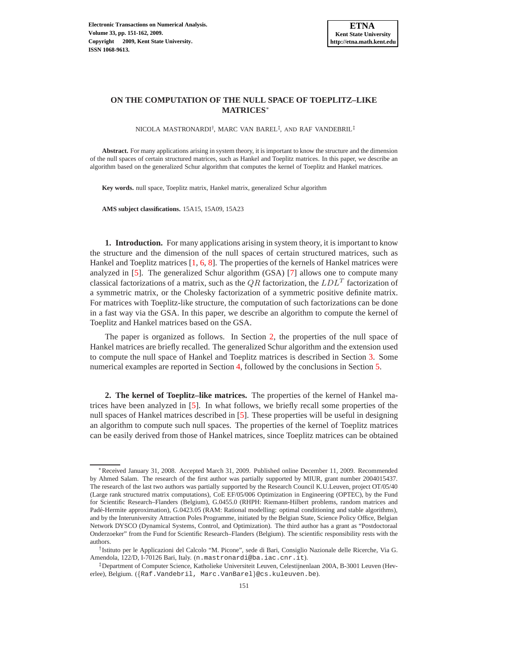## **ON THE COMPUTATION OF THE NULL SPACE OF TOEPLITZ–LIKE MATRICES**<sup>∗</sup>

NICOLA MASTRONARDI<sup>†</sup>, MARC VAN BAREL<sup>‡</sup>, AND RAF VANDEBRIL<sup>‡</sup>

**Abstract.** For many applications arising in system theory, it is important to know the structure and the dimension of the null spaces of certain structured matrices, such as Hankel and Toeplitz matrices. In this paper, we describe an algorithm based on the generalized Schur algorithm that computes the kernel of Toeplitz and Hankel matrices.

**Key words.** null space, Toeplitz matrix, Hankel matrix, generalized Schur algorithm

**AMS subject classifications.** 15A15, 15A09, 15A23

**1. Introduction.** For many applications arising in system theory, it is important to know the structure and the dimension of the null spaces of certain structured matrices, such as Hankel and Toeplitz matrices [\[1,](#page-10-0) [6,](#page-10-1) [8\]](#page-10-2). The properties of the kernels of Hankel matrices were analyzed in [\[5](#page-10-3)]. The generalized Schur algorithm (GSA) [\[7\]](#page-10-4) allows one to compute many classical factorizations of a matrix, such as the  $QR$  factorization, the  $LDL<sup>T</sup>$  factorization of a symmetric matrix, or the Cholesky factorization of a symmetric positive definite matrix. For matrices with Toeplitz-like structure, the computation of such factorizations can be done in a fast way via the GSA. In this paper, we describe an algorithm to compute the kernel of Toeplitz and Hankel matrices based on the GSA.

The paper is organized as follows. In Section [2,](#page-0-0) the properties of the null space of Hankel matrices are briefly recalled. The generalized Schur algorithm and the extension used to compute the null space of Hankel and Toeplitz matrices is described in Section [3.](#page-2-0) Some numerical examples are reported in Section [4,](#page-9-0) followed by the conclusions in Section [5.](#page-10-5)

<span id="page-0-0"></span>**2. The kernel of Toeplitz–like matrices.** The properties of the kernel of Hankel matrices have been analyzed in [\[5\]](#page-10-3). In what follows, we briefly recall some properties of the null spaces of Hankel matrices described in [\[5\]](#page-10-3). These properties will be useful in designing an algorithm to compute such null spaces. The properties of the kernel of Toeplitz matrices can be easily derived from those of Hankel matrices, since Toeplitz matrices can be obtained

<sup>∗</sup>Received January 31, 2008. Accepted March 31, 2009. Published online December 11, 2009. Recommended by Ahmed Salam. The research of the first author was partially supported by MIUR, grant number 2004015437. The research of the last two authors was partially supported by the Research Council K.U.Leuven, project OT/05/40 (Large rank structured matrix computations), CoE EF/05/006 Optimization in Engineering (OPTEC), by the Fund for Scientific Research–Flanders (Belgium), G.0455.0 (RHPH: Riemann-Hilbert problems, random matrices and Padé-Hermite approximation), G.0423.05 (RAM: Rational modelling: optimal conditioning and stable algorithms), and by the Interuniversity Attraction Poles Programme, initiated by the Belgian State, Science Policy Office, Belgian Network DYSCO (Dynamical Systems, Control, and Optimization). The third author has a grant as "Postdoctoraal Onderzoeker" from the Fund for Scientific Research–Flanders (Belgium). The scientific responsibility rests with the authors.

<sup>†</sup> Istituto per le Applicazioni del Calcolo "M. Picone", sede di Bari, Consiglio Nazionale delle Ricerche, Via G. Amendola, 122/D, I-70126 Bari, Italy. (n.mastronardi@ba.iac.cnr.it).

<sup>‡</sup>Department of Computer Science, Katholieke Universiteit Leuven, Celestijnenlaan 200A, B-3001 Leuven (Heverlee), Belgium. ({Raf.Vandebril, Marc.VanBarel}@cs.kuleuven.be).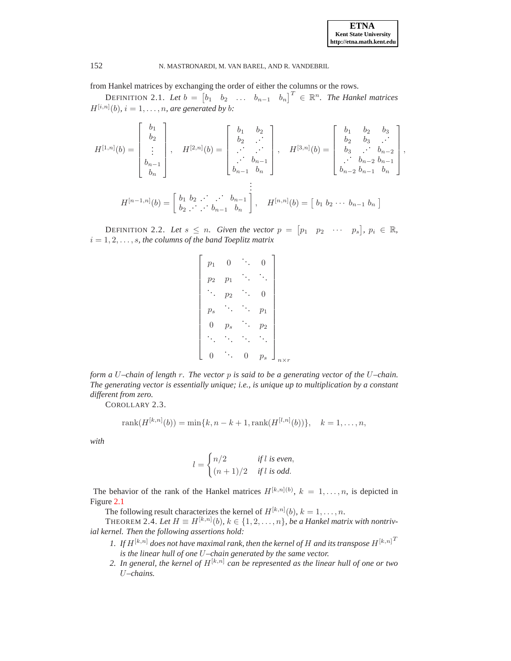from Hankel matrices by exchanging the order of either the columns or the rows.

DEFINITION 2.1. Let  $b = \begin{bmatrix} b_1 & b_2 & \dots & b_{n-1} & b_n \end{bmatrix}^T \in \mathbb{R}^n$ . The Hankel matrices  $H^{[i,n]}(b)$ ,  $i = 1, \ldots, n$ , are generated by b:

$$
H^{[1,n]}(b) = \begin{bmatrix} b_1 \\ b_2 \\ \vdots \\ b_{n-1} \\ b_n \end{bmatrix}, \quad H^{[2,n]}(b) = \begin{bmatrix} b_1 & b_2 \\ b_2 & \cdots \\ \vdots & \vdots \\ b_{n-1} & b_n \end{bmatrix}, \quad H^{[3,n]}(b) = \begin{bmatrix} b_1 & b_2 & b_3 \\ b_2 & \cdots \\ b_3 & \cdots & b_{n-2} \\ \vdots & \vdots \\ b_{n-2} & b_{n-1} & b_n \end{bmatrix},
$$

$$
H^{[n-1,n]}(b) = \begin{bmatrix} b_1 & b_2 & \cdots & b_{n-1} \\ b_2 & \cdots & b_{n-1} & b_n \end{bmatrix}, \quad H^{[n,n]}(b) = \begin{bmatrix} b_1 & b_2 & \cdots & b_{n-1} \\ b_2 & \cdots & b_{n-1} & b_n \end{bmatrix}.
$$

DEFINITION 2.2. Let  $s \leq n$ . Given the vector  $p = [p_1 \quad p_2 \quad \cdots \quad p_s], p_i \in \mathbb{R}$ ,  $i = 1, 2, \ldots, s$ , the columns of the band Toeplitz matrix

| $p_1$ | 0              |   | (     |                             |
|-------|----------------|---|-------|-----------------------------|
| $p_2$ | p <sub>1</sub> |   |       |                             |
|       | p <sub>2</sub> |   | O     |                             |
| $p_s$ |                |   | $p_1$ |                             |
| O     | $p_s$          |   | $p_2$ |                             |
|       |                |   |       |                             |
| 0     |                | U | $p_s$ | $\overline{r}$<br>$n\times$ |

*form a* U*–chain of length* r*. The vector* p *is said to be a generating vector of the* U*–chain. The generating vector is essentially unique; i.e., is unique up to multiplication by a constant different from zero.*

COROLLARY 2.3.

rank
$$
(H^{[k,n]}(b))
$$
 = min{ $k, n - k + 1$ , rank $(H^{[l,n]}(b))$ },  $k = 1,..., n$ ,

*with*

$$
l = \begin{cases} n/2 & \text{if } l \text{ is even,} \\ (n+1)/2 & \text{if } l \text{ is odd.} \end{cases}
$$

The behavior of the rank of the Hankel matrices  $H^{[k,n](b)}$ ,  $k = 1, \ldots, n$ , is depicted in Figure [2.1](#page-2-1)

The following result characterizes the kernel of  $H^{[k,n]}(b)$ ,  $k = 1, \ldots, n$ .

THEOREM 2.4. Let  $H \equiv H^{[k,n]}(b)$ ,  $k \in \{1, 2, \ldots, n\}$ , be a Hankel matrix with nontriv*ial kernel. Then the following assertions hold:*

- 1. If  $H^{[k,n]}$  does not have maximal rank, then the kernel of H and its transpose  $H^{[k,n]}$ <sup>T</sup> *is the linear hull of one* U*–chain generated by the same vector.*
- 2. In general, the kernel of  $H^{[k,n]}$  can be represented as the linear hull of one or two U*–chains.*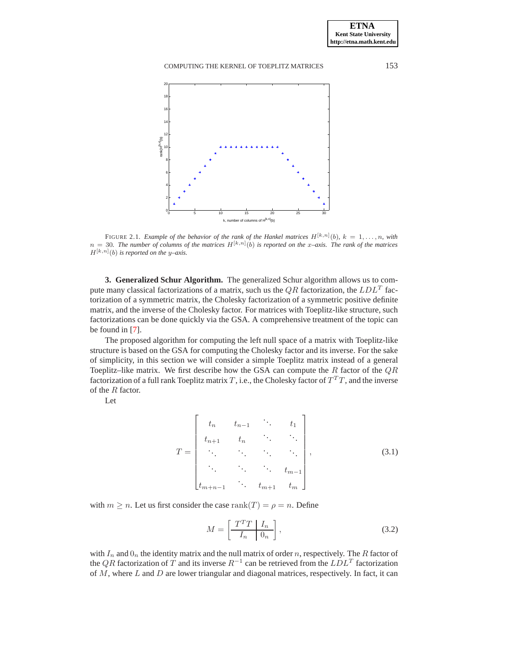

<span id="page-2-1"></span>FIGURE 2.1. *Example of the behavior of the rank of the Hankel matrices*  $H^{[k,n]}(b)$ ,  $k = 1, \ldots, n$ , with  $n = 30$ . The number of columns of the matrices  $H^{[k,n]}(b)$  is reported on the x–axis. The rank of the matrices  $H^{[k,n]}(b)$  *is reported on the y–axis.* 

<span id="page-2-0"></span>**3. Generalized Schur Algorithm.** The generalized Schur algorithm allows us to compute many classical factorizations of a matrix, such us the  $QR$  factorization, the  $LDL<sup>T</sup>$  factorization of a symmetric matrix, the Cholesky factorization of a symmetric positive definite matrix, and the inverse of the Cholesky factor. For matrices with Toeplitz-like structure, such factorizations can be done quickly via the GSA. A comprehensive treatment of the topic can be found in [\[7](#page-10-4)].

The proposed algorithm for computing the left null space of a matrix with Toeplitz-like structure is based on the GSA for computing the Cholesky factor and its inverse. For the sake of simplicity, in this section we will consider a simple Toeplitz matrix instead of a general Toeplitz–like matrix. We first describe how the GSA can compute the  $R$  factor of the  $QR$ factorization of a full rank Toeplitz matrix T, i.e., the Cholesky factor of  $T^T T$ , and the inverse of the R factor.

Let

$$
T = \begin{bmatrix} t_n & t_{n-1} & \cdots & t_1 \\ t_{n+1} & t_n & \cdots & \ddots \\ \vdots & \vdots & \ddots & \vdots \\ t_{m+n-1} & \cdots & t_{m-1} \\ t_{m+n-1} & \cdots & t_{m+1} & t_m \end{bmatrix},
$$
(3.1)

with  $m \ge n$ . Let us first consider the case rank $(T) = \rho = n$ . Define

$$
M = \left[\begin{array}{c|c} T^T T & I_n \\ \hline I_n & 0_n \end{array}\right],\tag{3.2}
$$

with  $I_n$  and  $0_n$  the identity matrix and the null matrix of order n, respectively. The R factor of the QR factorization of T and its inverse  $R^{-1}$  can be retrieved from the  $LDL^{T}$  factorization of  $M$ , where  $L$  and  $D$  are lower triangular and diagonal matrices, respectively. In fact, it can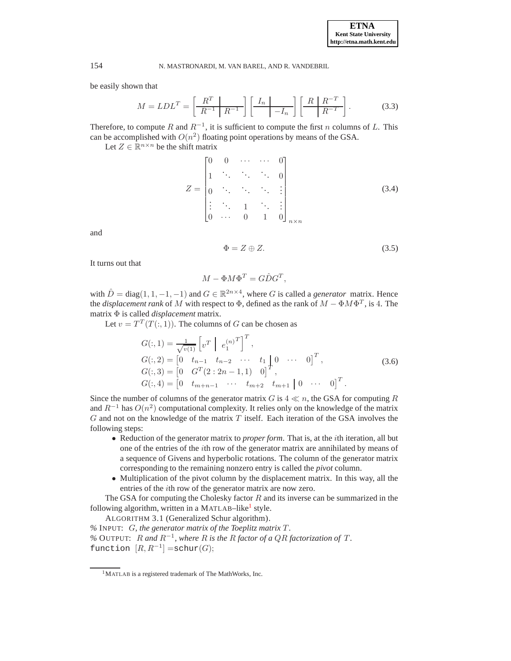be easily shown that

$$
M = LDL^T = \left[\frac{R^T}{R^{-1}} \left| \frac{I_n}{R^{-1}}\right|\right] \left[\frac{I_n}{I_n}\right] \left[\frac{R}{R^{-T}}\right].
$$
 (3.3)

Therefore, to compute R and  $R^{-1}$ , it is sufficient to compute the first n columns of L. This can be accomplished with  $O(n^2)$  floating point operations by means of the GSA.

Let  $Z \in \mathbb{R}^{n \times n}$  be the shift matrix

<span id="page-3-2"></span>
$$
Z = \begin{bmatrix} 0 & 0 & \cdots & \cdots & 0 \\ 1 & \ddots & \ddots & \ddots & 0 \\ 0 & \ddots & \ddots & \ddots & \vdots \\ \vdots & \ddots & 1 & \ddots & \vdots \\ 0 & \cdots & 0 & 1 & 0 \end{bmatrix}_{n \times n}
$$
 (3.4)

and

$$
\Phi = Z \oplus Z. \tag{3.5}
$$

It turns out that

$$
M - \Phi M \Phi^T = G \hat{D} G^T,
$$

with  $\hat{D} = \text{diag}(1, 1, -1, -1)$  and  $G \in \mathbb{R}^{2n \times 4}$ , where G is called a *generator* matrix. Hence the *displacement rank* of M with respect to  $\Phi$ , defined as the rank of  $M - \Phi M \Phi^T$ , is 4. The matrix Φ is called *displacement* matrix.

Let  $v = T^T(T(:, 1))$ . The columns of G can be chosen as

<span id="page-3-3"></span>
$$
G(:, 1) = \frac{1}{\sqrt{v(1)}} \left[ v^T \middle| e_1^{(n)T} \right]^T,
$$
  
\n
$$
G(:, 2) = \left[ 0 \quad t_{n-1} \quad t_{n-2} \quad \cdots \quad t_1 \middle| 0 \quad \cdots \quad 0 \right]^T,
$$
  
\n
$$
G(:, 3) = \left[ 0 \quad G^T(2 : 2n - 1, 1) \quad 0 \right]^T,
$$
  
\n
$$
G(:, 4) = \left[ 0 \quad t_{m+n-1} \quad \cdots \quad t_{m+2} \quad t_{m+1} \middle| 0 \quad \cdots \quad 0 \right]^T.
$$
\n(3.6)

Since the number of columns of the generator matrix G is  $4 \ll n$ , the GSA for computing R and  $R^{-1}$  has  $O(n^2)$  computational complexity. It relies only on the knowledge of the matrix  $G$  and not on the knowledge of the matrix  $T$  itself. Each iteration of the GSA involves the following steps:

- Reduction of the generator matrix to *proper form*. That is, at the ith iteration, all but one of the entries of the ith row of the generator matrix are annihilated by means of a sequence of Givens and hyperbolic rotations. The column of the generator matrix corresponding to the remaining nonzero entry is called the *pivot* column.
- Multiplication of the pivot column by the displacement matrix. In this way, all the entries of the ith row of the generator matrix are now zero.

The GSA for computing the Cholesky factor  $R$  and its inverse can be summarized in the following algorithm, written in a MATLAB-like<sup>[1](#page-3-0)</sup> style.

<span id="page-3-1"></span>ALGORITHM 3.1 (Generalized Schur algorithm).

*%* INPUT: G*, the generator matrix of the Toeplitz matrix* T *.* % OUTPUT:  $R$  and  $R^{-1}$ , where  $R$  is the  $R$  *factor of a QR factorization of*  $T$ . function  $[R, R^{-1}] = \text{schur}(G);$ 

<span id="page-3-0"></span><sup>1</sup>MATLAB is a registered trademark of The MathWorks, Inc.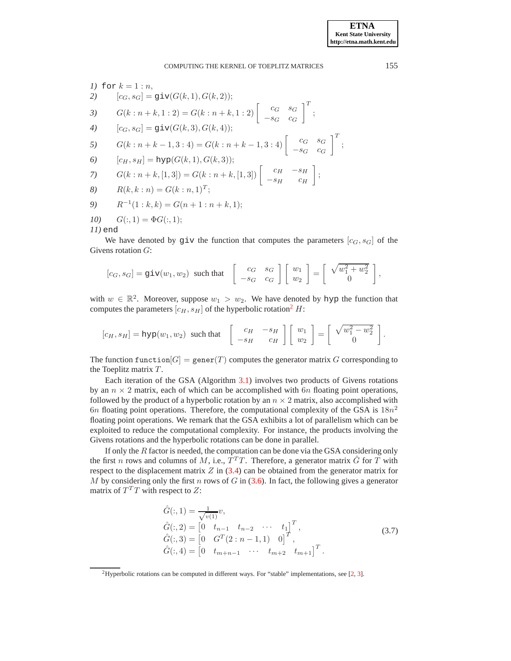1) for 
$$
k = 1 : n
$$
,  
\n2)  $[c_G, s_G] = \text{giv}(G(k, 1), G(k, 2));$   
\n3)  $G(k : n + k, 1 : 2) = G(k : n + k, 1 : 2) \begin{bmatrix} c_G & s_G \\ -s_G & c_G \end{bmatrix}^T;$   
\n4)  $[c_G, s_G] = \text{giv}(G(k, 3), G(k, 4));$   
\n5)  $G(k : n + k - 1, 3 : 4) = G(k : n + k - 1, 3 : 4) \begin{bmatrix} c_G & s_G \\ -s_G & c_G \end{bmatrix}^T;$   
\n6)  $[c_H, s_H] = \text{hyp}(G(k, 1), G(k, 3));$   
\n7)  $G(k : n + k, [1, 3]) = G(k : n + k, [1, 3]) \begin{bmatrix} c_H & -s_H \\ -s_H & c_H \end{bmatrix};$   
\n8)  $R(k, k : n) = G(k : n, 1)^T;$   
\n9)  $R^{-1}(1 : k, k) = G(n + 1 : n + k, 1);$   
\n10)  $G(:, 1) = \Phi G(:, 1);$   
\n11) end

We have denoted by giv the function that computes the parameters  $[c_G, s_G]$  of the Givens rotation G:

$$
[c_G, s_G] = \text{giv}(w_1, w_2) \text{ such that } \begin{bmatrix} c_G & s_G \\ -s_G & c_G \end{bmatrix} \begin{bmatrix} w_1 \\ w_2 \end{bmatrix} = \begin{bmatrix} \sqrt{w_1^2 + w_2^2} \\ 0 \end{bmatrix},
$$

with  $w \in \mathbb{R}^2$ . Moreover, suppose  $w_1 > w_2$ . We have denoted by hyp the function that computes the parameters  $[c_H, s_H]$  of the hyperbolic rotation<sup>[2](#page-4-0)</sup> H:

$$
[c_H, s_H] = \text{hyp}(w_1, w_2) \text{ such that } \begin{bmatrix} c_H & -s_H \\ -s_H & c_H \end{bmatrix} \begin{bmatrix} w_1 \\ w_2 \end{bmatrix} = \begin{bmatrix} \sqrt{w_1^2 - w_2^2} \\ 0 \end{bmatrix}
$$

The function function  $[G] = \text{generic}(T)$  computes the generator matrix G corresponding to the Toeplitz matrix  $T$ .

Each iteration of the GSA (Algorithm [3.1\)](#page-3-1) involves two products of Givens rotations by an  $n \times 2$  matrix, each of which can be accomplished with 6n floating point operations, followed by the product of a hyperbolic rotation by an  $n \times 2$  matrix, also accomplished with 6n floating point operations. Therefore, the computational complexity of the GSA is  $18n^2$ floating point operations. We remark that the GSA exhibits a lot of parallelism which can be exploited to reduce the computational complexity. For instance, the products involving the Givens rotations and the hyperbolic rotations can be done in parallel.

If only the  $R$  factor is needed, the computation can be done via the GSA considering only the first n rows and columns of M, i.e.,  $\overline{T}^T T$ . Therefore, a generator matrix  $\hat{G}$  for T with respect to the displacement matrix  $Z$  in  $(3.4)$  can be obtained from the generator matrix for M by considering only the first n rows of G in  $(3.6)$ . In fact, the following gives a generator matrix of  $T^T T$  with respect to Z:

<span id="page-4-1"></span>
$$
\hat{G}(:,1) = \frac{1}{\sqrt{v(1)}}v,
$$
\n
$$
\hat{G}(:,2) = \begin{bmatrix} 0 & t_{n-1} & t_{n-2} & \cdots & t_1 \end{bmatrix}^T,
$$
\n
$$
\hat{G}(:,3) = \begin{bmatrix} 0 & G^T(2:n-1,1) & 0 \end{bmatrix}^T,
$$
\n
$$
\hat{G}(:,4) = \begin{bmatrix} 0 & t_{m+n-1} & \cdots & t_{m+2} & t_{m+1} \end{bmatrix}^T.
$$
\n(3.7)

.

<span id="page-4-0"></span><sup>&</sup>lt;sup>2</sup>Hyperbolic rotations can be computed in different ways. For "stable" implementations, see [\[2](#page-10-6), [3](#page-10-7)].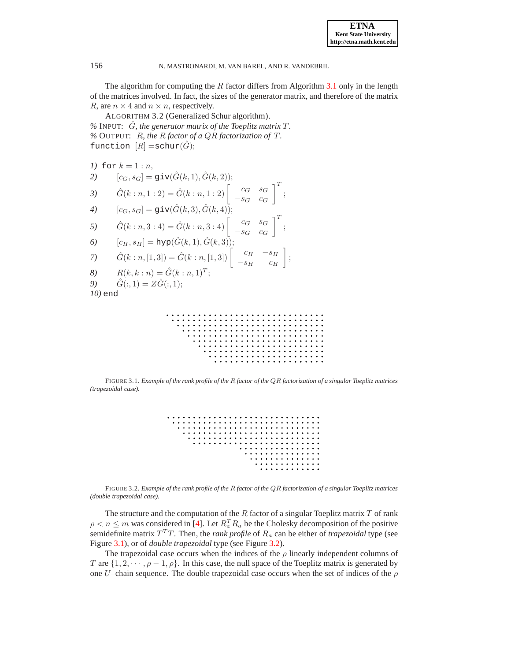The algorithm for computing the  $R$  factor differs from Algorithm [3.1](#page-3-1) only in the length of the matrices involved. In fact, the sizes of the generator matrix, and therefore of the matrix R, are  $n \times 4$  and  $n \times n$ , respectively.

ALGORITHM 3.2 (Generalized Schur algorithm).  $%$  INPUT:  $\hat{G}$ *, the generator matrix of the Toeplitz matrix T. %* OUTPUT: R*, the* R *factor of a* QR *factorization of* T *.* function  $[R] = \text{schur}(\hat{G});$ 

1) for 
$$
k = 1 : n
$$
,  
\n2)  $[c_G, s_G] = \text{giv}(\hat{G}(k, 1), \hat{G}(k, 2));$   
\n3)  $\hat{G}(k : n, 1 : 2) = \hat{G}(k : n, 1 : 2) \begin{bmatrix} c_G & s_G \\ -s_G & c_G \end{bmatrix}^T;$   
\n4)  $[c_G, s_G] = \text{giv}(\hat{G}(k, 3), \hat{G}(k, 4));$   
\n5)  $\hat{G}(k : n, 3 : 4) = \hat{G}(k : n, 3 : 4) \begin{bmatrix} c_G & s_G \\ -s_G & c_G \end{bmatrix}^T;$   
\n6)  $[c_H, s_H] = \text{hyp}(\hat{G}(k, 1), \hat{G}(k, 3));$   
\n7)  $\hat{G}(k : n, [1, 3]) = \hat{G}(k : n, [1, 3]) \begin{bmatrix} c_H & -s_H \\ -s_H & c_H \end{bmatrix};$   
\n8)  $R(k, k : n) = \hat{G}(k : n, 1)^T;$   
\n9)  $\hat{G}(:, 1) = Z\hat{G}(:, 1);$   
\n10) end

 $\begin{array}{cccccccccccccc} \bullet & \bullet & \bullet & \bullet & \bullet & \bullet & \bullet \end{array}$ . . . . . .

FIGURE 3.1. *Example of the rank profile of the* R *factor of the* QR *factorization of a singular Toeplitz matrices (trapezoidal case).*

<span id="page-5-0"></span>

|  |  |  |  |  |  |  |  |  |  | . |  |  |  |  |
|--|--|--|--|--|--|--|--|--|--|---|--|--|--|--|
|  |  |  |  |  |  |  |  |  |  | . |  |  |  |  |
|  |  |  |  |  |  |  |  |  |  | . |  |  |  |  |
|  |  |  |  |  |  |  |  |  |  | . |  |  |  |  |
|  |  |  |  |  |  |  |  |  |  | . |  |  |  |  |

<span id="page-5-1"></span>FIGURE 3.2. *Example of the rank profile of the* R *factor of the* QR *factorization of a singular Toeplitz matrices (double trapezoidal case).*

The structure and the computation of the  $R$  factor of a singular Toeplitz matrix  $T$  of rank  $\rho < n \le m$  was considered in [\[4](#page-10-8)]. Let  $R_a^T R_a$  be the Cholesky decomposition of the positive semidefinite matrix  $T^{T}T$ . Then, the *rank profile* of  $R_{a}$  can be either of *trapezoidal* type (see Figure [3.1\)](#page-5-0), or of *double trapezoidal* type (see Figure [3.2\)](#page-5-1).

The trapezoidal case occurs when the indices of the  $\rho$  linearly independent columns of T are  $\{1, 2, \dots, \rho-1, \rho\}$ . In this case, the null space of the Toeplitz matrix is generated by one U–chain sequence. The double trapezoidal case occurs when the set of indices of the  $\rho$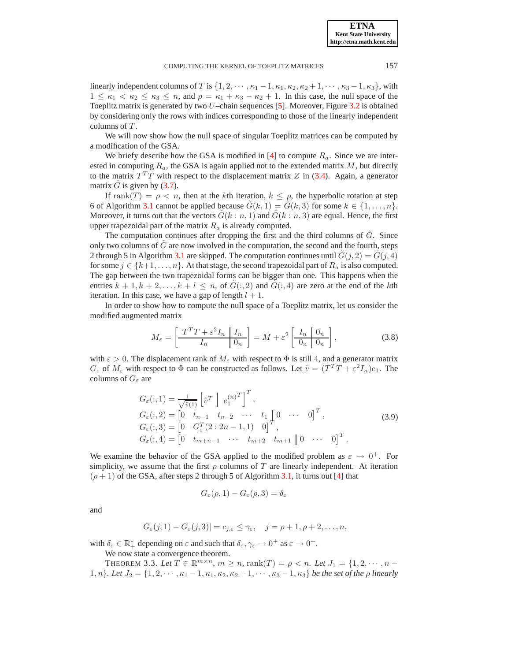linearly independent columns of T is  $\{1, 2, \cdots, \kappa_1 - 1, \kappa_1, \kappa_2, \kappa_2 + 1, \cdots, \kappa_3 - 1, \kappa_3\}$ , with  $1 \leq \kappa_1 < \kappa_2 \leq \kappa_3 \leq n$ , and  $\rho = \kappa_1 + \kappa_3 - \kappa_2 + 1$ . In this case, the null space of the Toeplitz matrix is generated by two  $U$ –chain sequences [\[5](#page-10-3)]. Moreover, Figure [3.2](#page-5-1) is obtained by considering only the rows with indices corresponding to those of the linearly independent columns of  $T$ .

We will now show how the null space of singular Toeplitz matrices can be computed by a modification of the GSA.

We briefy describe how the GSA is modified in [\[4](#page-10-8)] to compute  $R_a$ . Since we are interested in computing  $R_a$ , the GSA is again applied not to the extended matrix  $M$ , but directly to the matrix  $T^{T}T$  with respect to the displacement matrix Z in [\(3.4\)](#page-3-2). Again, a generator matrix  $\ddot{G}$  is given by [\(3.7\)](#page-4-1).

If rank $(T) = \rho < n$ , then at the kth iteration,  $k \leq \rho$ , the hyperbolic rotation at step 6 of Algorithm [3.1](#page-3-1) cannot be applied because  $\tilde{G}(k, 1) = \tilde{G}(k, 3)$  for some  $k \in \{1, \ldots, n\}$ . Moreover, it turns out that the vectors  $\tilde{G}(k : n, 1)$  and  $\tilde{G}(k : n, 3)$  are equal. Hence, the first upper trapezoidal part of the matrix  $R_a$  is already computed.

The computation continues after dropping the first and the third columns of  $G$ . Since only two columns of  $G$  are now involved in the computation, the second and the fourth, steps 2 through 5 in Algorithm [3.1](#page-3-1) are skipped. The computation continues until  $G(j, 2) = G(j, 4)$ for some  $j \in \{k+1, \ldots, n\}$ . At that stage, the second trapezoidal part of  $R_a$  is also computed. The gap between the two trapezoidal forms can be bigger than one. This happens when the entries  $k + 1, k + 2, \ldots, k + l \leq n$ , of  $G(:, 2)$  and  $G(:, 4)$  are zero at the end of the kth iteration. In this case, we have a gap of length  $l + 1$ .

In order to show how to compute the null space of a Toeplitz matrix, let us consider the modified augmented matrix

$$
M_{\varepsilon} = \left[ \frac{T^T T + \varepsilon^2 I_n \mid I_n}{I_n \mid 0_n} \right] = M + \varepsilon^2 \left[ \frac{I_n \mid 0_n}{0_n \mid 0_n} \right],
$$
 (3.8)

with  $\varepsilon > 0$ . The displacement rank of  $M_{\varepsilon}$  with respect to  $\Phi$  is still 4, and a generator matrix  $G_{\varepsilon}$  of  $M_{\varepsilon}$  with respect to  $\Phi$  can be constructed as follows. Let  $\tilde{v} = (T^T T + \varepsilon^2 I_n)e_1$ . The columns of  $G_{\varepsilon}$  are

$$
G_{\varepsilon}(:,1) = \frac{1}{\sqrt{\tilde{v}(1)}} \left[ \tilde{v}^{T} \middle| e_{1}^{(n)T} \right]^{T},
$$
  
\n
$$
G_{\varepsilon}(:,2) = \begin{bmatrix} 0 & t_{n-1} & t_{n-2} & \cdots & t_{1} & 0 & \cdots & 0 \end{bmatrix}^{T},
$$
  
\n
$$
G_{\varepsilon}(:,3) = \begin{bmatrix} 0 & G_{\varepsilon}^{T}(2:2n-1,1) & 0 \end{bmatrix}^{T},
$$
  
\n
$$
G_{\varepsilon}(:,4) = \begin{bmatrix} 0 & t_{m+n-1} & \cdots & t_{m+2} & t_{m+1} & 0 & \cdots & 0 \end{bmatrix}^{T}.
$$
\n(3.9)

We examine the behavior of the GSA applied to the modified problem as  $\varepsilon \to 0^+$ . For simplicity, we assume that the first  $\rho$  columns of T are linearly independent. At iteration  $(\rho + 1)$  of the GSA, after steps 2 through 5 of Algorithm [3.1,](#page-3-1) it turns out [\[4\]](#page-10-8) that

$$
G_{\varepsilon}(\rho,1) - G_{\varepsilon}(\rho,3) = \delta_{\varepsilon}
$$

and

$$
|G_{\varepsilon}(j,1)-G_{\varepsilon}(j,3)|=c_{j,\varepsilon}\leq \gamma_{\varepsilon}, \quad j=\rho+1,\rho+2,\ldots,n,
$$

with  $\delta_{\varepsilon} \in \mathbb{R}_+^*$  depending on  $\varepsilon$  and such that  $\delta_{\varepsilon}, \gamma_{\varepsilon} \to 0^+$  as  $\varepsilon \to 0^+$ .

We now state a convergence theorem.

THEOREM 3.3. Let  $T \in \mathbb{R}^{m \times n}$ ,  $m \ge n$ ,  $\text{rank}(T) = \rho \lt n$ . Let  $J_1 = \{1, 2, \dots, n - 1\}$ 1, n}*. Let*  $J_2 = \{1, 2, \dots, \kappa_1 - 1, \kappa_1, \kappa_2, \kappa_2 + 1, \dots, \kappa_3 - 1, \kappa_3\}$  *be the set of the*  $\rho$  *linearly*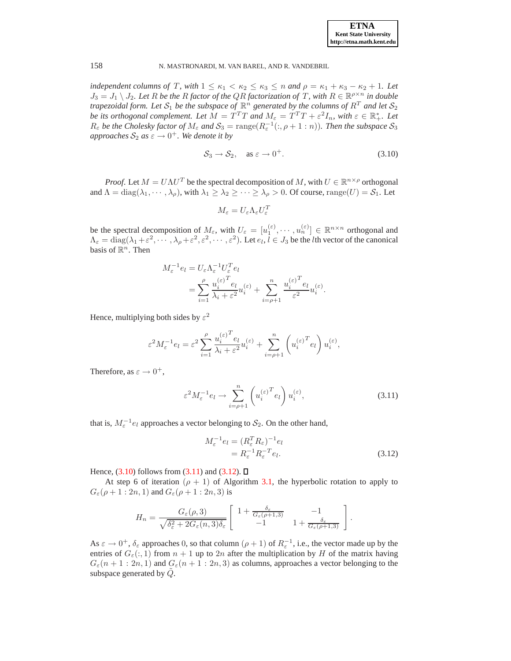*independent columns of* T, with  $1 \leq \kappa_1 < \kappa_2 \leq \kappa_3 \leq n$  *and*  $\rho = \kappa_1 + \kappa_3 - \kappa_2 + 1$ *. Let*  $J_3 = J_1 \setminus J_2$ . Let R be the R factor of the QR factorization of T, with  $R \in \mathbb{R}^{p \times n}$  in double *trapezoidal form. Let*  $S_1$  *be the subspace of*  $\mathbb{R}^n$  *generated by the columns of*  $R^T$  *and let*  $S_2$ *be its orthogonal complement. Let*  $\tilde{M} = \tilde{T}^T T$  *and*  $M_{\varepsilon} = \tilde{T}^T T + \varepsilon^2 I_n$ , with  $\varepsilon \in \mathbb{R}_+^*$ . Let  $R_{\varepsilon}$  *be the Cholesky factor of*  $M_{\varepsilon}$  *and*  $S_3 = \text{range}(R_{\varepsilon}^{-1}(:, \rho + 1:n))$ *. Then the subspace*  $S_3$  $approaches S_2$   $as \varepsilon \rightarrow 0^+$ . We denote it by

<span id="page-7-0"></span>
$$
S_3 \to S_2, \quad \text{as } \varepsilon \to 0^+. \tag{3.10}
$$

*Proof.* Let  $M = U\Lambda U^T$  be the spectral decomposition of M, with  $U \in \mathbb{R}^{n \times \rho}$  orthogonal and  $\Lambda = \text{diag}(\lambda_1, \dots, \lambda_\rho)$ , with  $\lambda_1 \geq \lambda_2 \geq \dots \geq \lambda_\rho > 0$ . Of course, range $(U) = S_1$ . Let

$$
M_{\varepsilon}=U_{\varepsilon}\Lambda_{\varepsilon}U_{\varepsilon}^T
$$

be the spectral decomposition of  $M_{\varepsilon}$ , with  $U_{\varepsilon} = [u_1^{(\varepsilon)}, \cdots, u_n^{(\varepsilon)}] \in \mathbb{R}^{n \times n}$  orthogonal and  $\Lambda_{\varepsilon} = \text{diag}(\lambda_1 + \varepsilon^2, \dots, \lambda_{\rho} + \varepsilon^2, \varepsilon^2, \dots, \varepsilon^2)$ . Let  $e_l, l \in J_3$  be the *l*th vector of the canonical basis of  $\mathbb{R}^n$ . Then

$$
\begin{split} M_{\varepsilon}^{-1}e_l&=U_{\varepsilon}\Lambda_{\varepsilon}^{-1}U_{\varepsilon}^Te_l\\ &=\sum_{i=1}^\rho \frac{u_i^{(\varepsilon)}^Te_l}{\lambda_i+\varepsilon^2}u_i^{(\varepsilon)}+\sum_{i=\rho+1}^n \frac{u_i^{(\varepsilon)}^Te_l}{\varepsilon^2}u_i^{(\varepsilon)}. \end{split}
$$

Hence, multiplying both sides by  $\varepsilon^2$ 

$$
\varepsilon^2 M_{\varepsilon}^{-1} e_l = \varepsilon^2 \sum_{i=1}^{\rho} \frac{u_i^{(\varepsilon)}^T e_l}{\lambda_i + \varepsilon^2} u_i^{(\varepsilon)} + \sum_{i=\rho+1}^n \left( u_i^{(\varepsilon)}^T e_l \right) u_i^{(\varepsilon)},
$$

Therefore, as  $\varepsilon \to 0^+,$ 

<span id="page-7-1"></span>
$$
\varepsilon^2 M_{\varepsilon}^{-1} e_l \to \sum_{i=\rho+1}^n \left( u_i^{(\varepsilon)}^T e_l \right) u_i^{(\varepsilon)},\tag{3.11}
$$

that is,  $M_{\varepsilon}^{-1}e_l$  approaches a vector belonging to  $\mathcal{S}_2$ . On the other hand,

<span id="page-7-2"></span>
$$
M_{\varepsilon}^{-1}e_l = (R_{\varepsilon}^T R_{\varepsilon})^{-1} e_l = R_{\varepsilon}^{-1} R_{\varepsilon}^{-T} e_l.
$$
 (3.12)

Hence,  $(3.10)$  follows from  $(3.11)$  and  $(3.12)$ .

At step 6 of iteration ( $\rho + 1$ ) of Algorithm [3.1,](#page-3-1) the hyperbolic rotation to apply to  $G_{\varepsilon}(\rho+1:2n,1)$  and  $G_{\varepsilon}(\rho+1:2n,3)$  is

$$
H_n = \frac{G_{\varepsilon}(\rho,3)}{\sqrt{\delta_{\varepsilon}^2 + 2G_{\varepsilon}(n,3)\delta_{\varepsilon}}} \left[ \begin{array}{cc} 1 + \frac{\delta_{\varepsilon}}{G_{\varepsilon}(\rho+1,3)} & -1 \\ -1 & 1 + \frac{\delta_{\varepsilon}}{G_{\varepsilon}(\rho+1,3)} \end{array} \right].
$$

As  $\varepsilon \to 0^+$ ,  $\delta_{\varepsilon}$  approaches 0, so that column  $(\rho + 1)$  of  $R_{\varepsilon}^{-1}$ , i.e., the vector made up by the entries of  $G_{\varepsilon}(:, 1)$  from  $n + 1$  up to  $2n$  after the multiplication by H of the matrix having  $G_{\varepsilon}(n+1:2n,1)$  and  $G_{\varepsilon}(n+1:2n,3)$  as columns, approaches a vector belonging to the subspace generated by  $\ddot{Q}$ .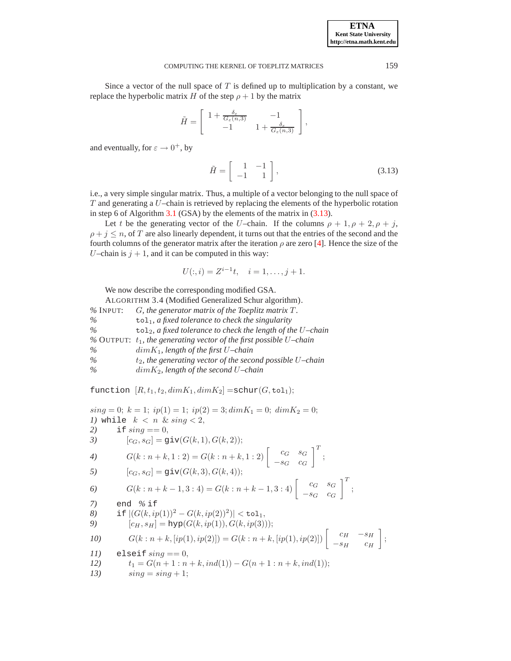Since a vector of the null space of  $T$  is defined up to multiplication by a constant, we replace the hyperbolic matrix H of the step  $\rho + 1$  by the matrix

$$
\tilde{H} = \begin{bmatrix} 1 + \frac{\delta_{\varepsilon}}{G_{\varepsilon}(n,3)} & -1 \\ -1 & 1 + \frac{\delta_{\varepsilon}}{G_{\varepsilon}(n,3)} \end{bmatrix},
$$

and eventually, for  $\varepsilon \to 0^+$ , by

<span id="page-8-0"></span>
$$
\tilde{H} = \left[ \begin{array}{cc} 1 & -1 \\ -1 & 1 \end{array} \right],\tag{3.13}
$$

i.e., a very simple singular matrix. Thus, a multiple of a vector belonging to the null space of  $T$  and generating a  $U$ –chain is retrieved by replacing the elements of the hyperbolic rotation in step 6 of Algorithm  $3.1$  (GSA) by the elements of the matrix in [\(3.13\)](#page-8-0).

Let t be the generating vector of the U–chain. If the columns  $\rho + 1$ ,  $\rho + 2$ ,  $\rho + j$ ,  $\rho + i \leq n$ , of T are also linearly dependent, it turns out that the entries of the second and the fourth columns of the generator matrix after the iteration  $\rho$  are zero [\[4\]](#page-10-8). Hence the size of the U–chain is  $j + 1$ , and it can be computed in this way:

$$
U(:,i) = Z^{i-1}t, \quad i = 1, \dots, j+1.
$$

We now describe the corresponding modified GSA.

ALGORITHM 3.4 (Modified Generalized Schur algorithm). *%* INPUT: G*, the generator matrix of the Toeplitz matrix* T *. %* tol1*, a fixed tolerance to check the singularity %* tol2*, a fixed tolerance to check the length of the* U*–chain %* OUTPUT: t1*, the generating vector of the first possible* U*–chain %* dimK1*, length of the first* U*–chain %* t2*, the generating vector of the second possible* U*–chain %* dimK2*, length of the second* U*–chain*

function  $[R, t_1, t_2, dimK_1, dimK_2] = \text{schur}(G, \text{tol}_1);$ 

 $sing = 0; k = 1; ip(1) = 1; ip(2) = 3; dim K<sub>1</sub> = 0; dim K<sub>2</sub> = 0;$ *1)* while  $k < n$  &  $sing < 2$ , 2) if  $\sin q = 0$ , 3)  $[c_G, s_G] = \text{giv}(G(k, 1), G(k, 2));$ 4)  $G(k:n+k,1:2) = G(k:n+k,1:2)$   $\begin{bmatrix} c_G & s_G \ s_G & s_G \end{bmatrix}$  $-s_G$   $c_G$  $\big]^{T}$  ; 5)  $[c_G, s_G] = \text{giv}(G(k, 3), G(k, 4));$ 6)  $G(k:n+k-1,3:4) = G(k:n+k-1,3:4) \begin{bmatrix} c_G & s_G \\ -s_G & c_G \end{bmatrix}$  $-s_G$   $c_G$  $\left.\begin{matrix} 1 & 0 \\ 0 & 0 \end{matrix}\right]$ *7)* end *%* if *8*) if  $|(G(k, ip(1))^2 - G(k, ip(2))^2)| < \texttt{tol}_1$ , 9)  $[c_H, s_H] = \text{hyp}(G(k, ip(1)), G(k, ip(3)));$ *10*)  $G(k : n+k, [ip(1), ip(2)]) = G(k : n+k, [ip(1), ip(2)])$   $\begin{bmatrix} c_H & -s_H \\ s_H & s_H \end{bmatrix}$  $-s_H$   $c_H$ *11)* elseif sing == 0, *12*  $t_1 = G(n + 1 : n + k, ind(1)) - G(n + 1 : n + k, ind(1));$ <br> *13*  $sinq = sinq + 1;$  $\sin a = \sin a + 1$ ;

;

**ETNA Kent State University http://etna.math.kent.edu**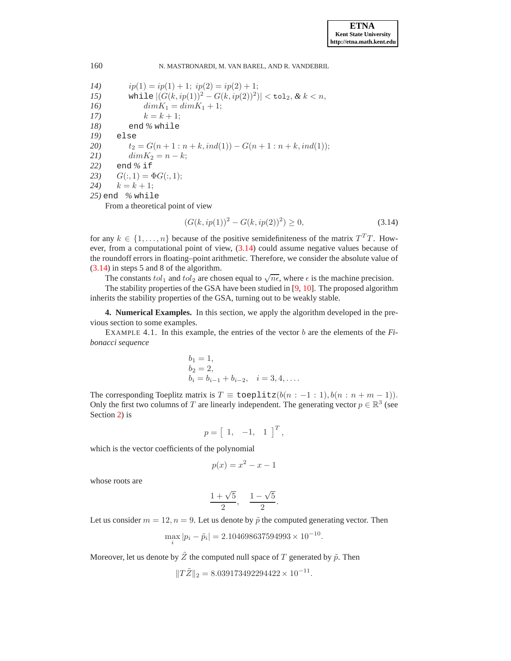# 14)  $ip(1) = ip(1) + 1; ip(2) = ip(2) + 1;$ 15) while  $|(G(k, ip(1))^2 - G(k, ip(2))^2)| < \texttt{tol}_2, \& k < n,$ *16*)  $dim K_1 = dim K_1 + 1;$ 17)  $k = k + 1;$ *18)* end *%* while *19)* else 20)  $t_2 = G(n+1 : n+k, ind(1)) - G(n+1 : n+k, ind(1));$ <br>
21)  $dim K_2 = n-k;$ 21)  $dim K_2 = n - k;$ <br>22) end % if *22)* end *%* if 23)  $G(:, 1) = \Phi G(:, 1);$ 24)  $k = k + 1$ ; *25)* end *%* while From a theoretical point of view

<span id="page-9-1"></span> $(G(k, ip(1))^2 - G(k, ip(2))^2) \ge 0,$  (3.14)

for any  $k \in \{1, \ldots, n\}$  because of the positive semidefiniteness of the matrix  $T^T T$ . However, from a computational point of view, [\(3.14\)](#page-9-1) could assume negative values because of the roundoff errors in floating–point arithmetic. Therefore, we consider the absolute value of [\(3.14\)](#page-9-1) in steps 5 and 8 of the algorithm.

The constants  $tol_1$  and  $tol_2$  are chosen equal to  $\sqrt{n\epsilon}$ , where  $\epsilon$  is the machine precision.

The stability properties of the GSA have been studied in [\[9](#page-11-0), [10\]](#page-11-1). The proposed algorithm inherits the stability properties of the GSA, turning out to be weakly stable.

<span id="page-9-0"></span>**4. Numerical Examples.** In this section, we apply the algorithm developed in the previous section to some examples.

EXAMPLE 4.1. In this example, the entries of the vector b are the elements of the *Fibonacci sequence*

$$
b_1 = 1,
$$
  
\n $b_2 = 2,$   
\n $b_i = b_{i-1} + b_{i-2}, \quad i = 3, 4, ....$ 

The corresponding Toeplitz matrix is  $T \equiv$  toeplitz $(b(n:-1:1), b(n:n+m-1)).$ Only the first two columns of T are linearly independent. The generating vector  $p \in \mathbb{R}^3$  (see Section [2\)](#page-0-0) is

$$
p = \left[ \begin{array}{cc} 1, & -1, & 1 \end{array} \right]^T,
$$

which is the vector coefficients of the polynomial

$$
p(x) = x^2 - x - 1
$$

whose roots are

$$
\frac{1+\sqrt{5}}{2}, \quad \frac{1-\sqrt{5}}{2}.
$$

Let us consider  $m = 12$ ,  $n = 9$ . Let us denote by  $\tilde{p}$  the computed generating vector. Then

$$
\max_{i} |p_i - \tilde{p}_i| = 2.104698637594993 \times 10^{-10}.
$$

Moreover, let us denote by  $\tilde{Z}$  the computed null space of  $T$  generated by  $\tilde{p}$ . Then

$$
||T\tilde{Z}||_2 = 8.039173492294422 \times 10^{-11}.
$$

### 160 N. MASTRONARDI, M. VAN BAREL, AND R. VANDEBRIL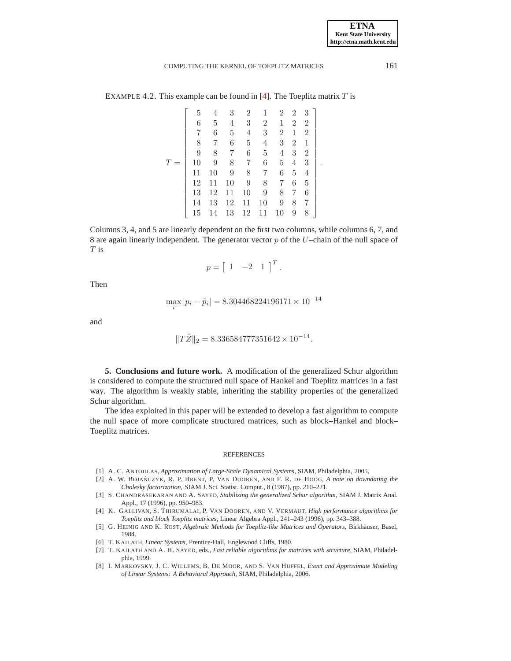.

### COMPUTING THE KERNEL OF TOEPLITZ MATRICES 161

EXAMPLE 4.2. This example can be found in [\[4\]](#page-10-8). The Toeplitz matrix  $T$  is

|     | 5  | 4  | 3  | $\overline{2}$ | 1              | $\overline{2}$ | $\overline{2}$ | 3              |  |
|-----|----|----|----|----------------|----------------|----------------|----------------|----------------|--|
|     | 6  | 5  | 4  | 3              | $\overline{2}$ | 1              | $\overline{2}$ | $\overline{2}$ |  |
|     | 7  | 6  | 5  | 4              | 3              | $\overline{2}$ | 1              | $\overline{2}$ |  |
|     | 8  | 7  | 6  | 5              | 4              | 3              | $\overline{2}$ | 1              |  |
|     | 9  | 8  | 7  | 6              | 5              | 4              | 3              | $\overline{2}$ |  |
| $=$ | 10 | 9  | 8  | 7              | 6              | 5              | 4              | 3              |  |
|     | 11 | 10 | 9  | 8              | 7              | 6              | 5              | 4              |  |
|     | 12 | 11 | 10 | 9              | 8              | 7              | 6              | 5              |  |
|     | 13 | 12 | 11 | 10             | 9              | 8              | 7              | 6              |  |
|     | 14 | 13 | 12 | 11             | 10             | 9              | 8              | 7              |  |
|     | 15 | 14 | 13 | 12             | 11             | 10             | 9              | 8              |  |

Columns 3, 4, and 5 are linearly dependent on the first two columns, while columns 6, 7, and 8 are again linearly independent. The generator vector  $p$  of the  $U$ –chain of the null space of T is

$$
p = \left[ \begin{array}{cc} 1 & -2 & 1 \end{array} \right]^T.
$$

Then

$$
\max_{i} |p_i - \tilde{p}_i| = 8.304468224196171 \times 10^{-14}
$$

and

$$
||T\tilde{Z}||_2 = 8.336584777351642 \times 10^{-14}.
$$

<span id="page-10-5"></span>**5. Conclusions and future work.** A modification of the generalized Schur algorithm is considered to compute the structured null space of Hankel and Toeplitz matrices in a fast way. The algorithm is weakly stable, inheriting the stability properties of the generalized Schur algorithm.

The idea exploited in this paper will be extended to develop a fast algorithm to compute the null space of more complicate structured matrices, such as block–Hankel and block– Toeplitz matrices.

#### REFERENCES

- <span id="page-10-0"></span>[1] A. C. ANTOULAS, *Approximation of Large-Scale Dynamical Systems*, SIAM, Philadelphia, 2005.
- <span id="page-10-6"></span>[2] A. W. BOJAŃCZYK, R. P. BRENT, P. VAN DOOREN, AND F. R. DE HOOG, A note on downdating the *Cholesky factorization*, SIAM J. Sci. Statist. Comput., 8 (1987), pp. 210–221.
- <span id="page-10-7"></span>[3] S. CHANDRASEKARAN AND A. SAYED, *Stabilizing the generalized Schur algorithm*, SIAM J. Matrix Anal. Appl., 17 (1996), pp. 950–983.
- <span id="page-10-8"></span>[4] K. GALLIVAN, S. THIRUMALAI, P. VAN DOOREN, AND V. VERMAUT, *High performance algorithms for Toeplitz and block Toeplitz matrices*, Linear Algebra Appl., 241–243 (1996), pp. 343–388.
- <span id="page-10-3"></span>[5] G. HEINIG AND K. ROST, *Algebraic Methods for Toeplitz-like Matrices and Operators*, Birkhäuser, Basel, 1984.
- <span id="page-10-1"></span>[6] T. KAILATH, *Linear Systems*, Prentice-Hall, Englewood Cliffs, 1980.
- <span id="page-10-4"></span>[7] T. KAILATH AND A. H. SAYED, eds., *Fast reliable algorithms for matrices with structure*, SIAM, Philadelphia, 1999.
- <span id="page-10-2"></span>[8] I. MARKOVSKY, J. C. WILLEMS, B. DE MOOR, AND S. VAN HUFFEL, *Exact and Approximate Modeling of Linear Systems: A Behavioral Approach*, SIAM, Philadelphia, 2006.